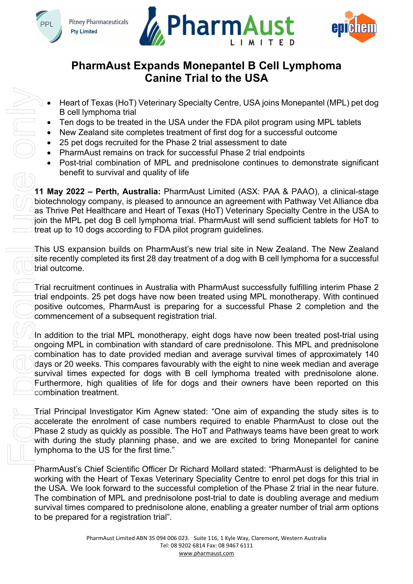







# **PharmAust Expands Monepantel B Cell Lymphoma Canine Trial to the USA**

- Heart of Texas (HoT) Veterinary Specialty Centre, USA joins Monepantel (MPL) pet dog B cell lymphoma trial
- Ten dogs to be treated in the USA under the FDA pilot program using MPL tablets
- New Zealand site completes treatment of first dog for a successful outcome
- 25 pet dogs recruited for the Phase 2 trial assessment to date
- PharmAust remains on track for successful Phase 2 trial endpoints
- Post-trial combination of MPL and prednisolone continues to demonstrate significant benefit to survival and quality of life

**11 May 2022 – Perth, Australia:** PharmAust Limited (ASX: PAA & PAAO), a clinical-stage biotechnology company, is pleased to announce an agreement with Pathway Vet Alliance dba as Thrive Pet Healthcare and Heart of Texas (HoT) Veterinary Specialty Centre in the USA to join the MPL pet dog B cell lymphoma trial. PharmAust will send sufficient tablets for HoT to treat up to 10 dogs according to FDA pilot program guidelines.

This US expansion builds on PharmAust's new trial site in New Zealand. The New Zealand site recently completed its first 28 day treatment of a dog with B cell lymphoma for a successful trial outcome.

Trial recruitment continues in Australia with PharmAust successfully fulfilling interim Phase 2 trial endpoints. 25 pet dogs have now been treated using MPL monotherapy. With continued positive outcomes, PharmAust is preparing for a successful Phase 2 completion and the commencement of a subsequent registration trial.

In addition to the trial MPL monotherapy, eight dogs have now been treated post-trial using ongoing MPL in combination with standard of care prednisolone. This MPL and prednisolone combination has to date provided median and average survival times of approximately 140 days or 20 weeks. This compares favourably with the eight to nine week median and average survival times expected for dogs with B cell lymphoma treated with prednisolone alone. Furthermore, high qualities of life for dogs and their owners have been reported on this combination treatment.

Trial Principal Investigator Kim Agnew stated: "One aim of expanding the study sites is to accelerate the enrolment of case numbers required to enable PharmAust to close out the Phase 2 study as quickly as possible. The HoT and Pathways teams have been great to work with during the study planning phase, and we are excited to bring Monepantel for canine lymphoma to the US for the first time."

PharmAust's Chief Scientific Officer Dr Richard Mollard stated: "PharmAust is delighted to be working with the Heart of Texas Veterinary Speciality Centre to enrol pet dogs for this trial in the USA. We look forward to the successful completion of the Phase 2 trial in the near future. The combination of MPL and prednisolone post-trial to date is doubling average and medium survival times compared to prednisolone alone, enabling a greater number of trial arm options